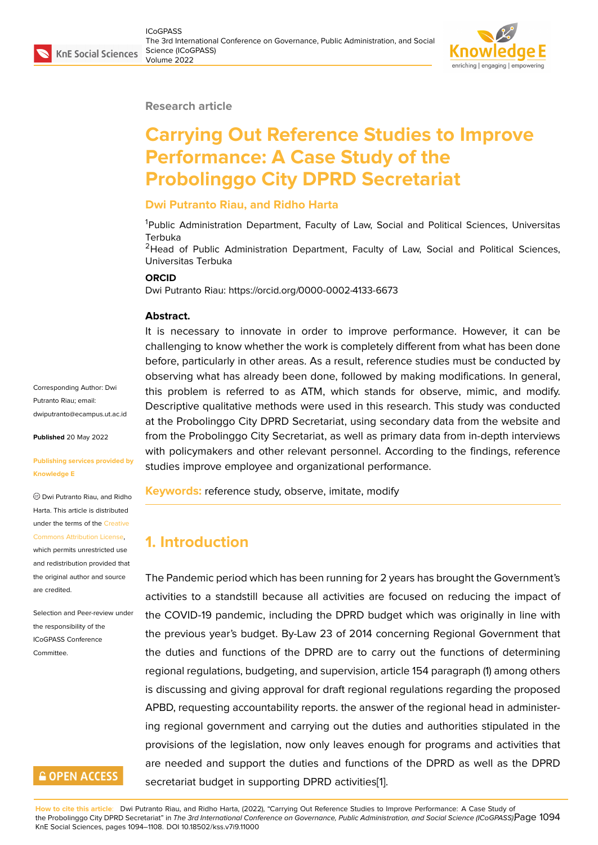#### **Research article**

# **Carrying Out Reference Studies to Improve Performance: A Case Study of the Probolinggo City DPRD Secretariat**

#### **Dwi Putranto Riau, and Ridho Harta**

<sup>1</sup>Public Administration Department, Faculty of Law, Social and Political Sciences, Universitas Terbuka

<sup>2</sup>Head of Public Administration Department, Faculty of Law, Social and Political Sciences, Universitas Terbuka

#### **ORCID**

Dwi Putranto Riau: https://orcid.org/0000-0002-4133-6673

#### **Abstract.**

It is necessary to innovate in order to improve performance. However, it can be challenging to know whether the work is completely different from what has been done before, particularly in other areas. As a result, reference studies must be conducted by observing what has already been done, followed by making modifications. In general, this problem is referred to as ATM, which stands for observe, mimic, and modify. Descriptive qualitative methods were used in this research. This study was conducted at the Probolinggo City DPRD Secretariat, using secondary data from the website and from the Probolinggo City Secretariat, as well as primary data from in-depth interviews with policymakers and other relevant personnel. According to the findings, reference studies improve employee and organizational performance.

**Keywords:** reference study, observe, imitate, modify

## **1. Introduction**

The Pandemic period which has been running for 2 years has brought the Government's activities to a standstill because all activities are focused on reducing the impact of the COVID-19 pandemic, including the DPRD budget which was originally in line with the previous year's budget. By-Law 23 of 2014 concerning Regional Government that the duties and functions of the DPRD are to carry out the functions of determining regional regulations, budgeting, and supervision, article 154 paragraph (1) among others is discussing and giving approval for draft regional regulations regarding the proposed APBD, requesting accountability reports. the answer of the regional head in administering regional government and carrying out the duties and authorities stipulated in the provisions of the legislation, now only leaves enough for programs and activities that are needed and support the duties and functions of the DPRD as well as the DPRD secretariat budget in supporting DPRD activities[1].

**How to cite this article**: Dwi Putranto Riau, and Ridho Harta, (2022), "Carrying Out Reference Studies to Improve Performance: A Case Study of the Probolinggo City DPRD Secretariat" in *The 3rd International Conference on Governance, Public Administration, and Social Science (ICoGPASS)*, Page 1094 KnE Social Sciences, pages 1094–1108. DOI 10.18502/kss.v7i9.11000

Corresponding Author: Dwi Putranto Riau; email: dwiputranto@ecampus.ut.ac.id

**Published** 20 May 2022

#### **[Publishing services provided b](mailto:dwiputranto@ecampus.ut.ac.id)y Knowledge E**

Dwi Putranto Riau, and Ridho Harta. This article is distributed under the terms of the Creative Commons Attribution License,

which permits unrestricted use and redistribution provided that the original author and [source](https://creativecommons.org/licenses/by/4.0/) [are credited.](https://creativecommons.org/licenses/by/4.0/)

Selection and Peer-review under the responsibility of the ICoGPASS Conference **Committee** 

# **GOPEN ACCESS**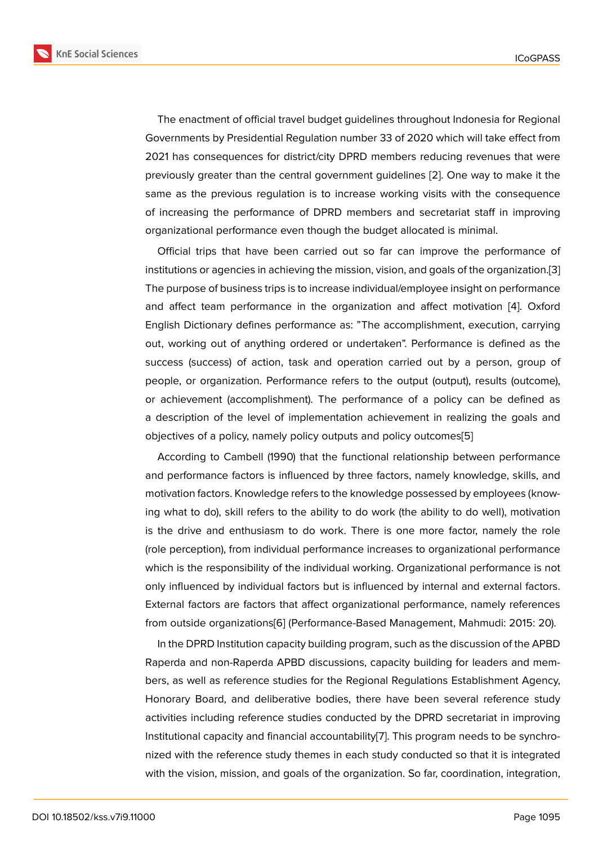The enactment of official travel budget guidelines throughout Indonesia for Regional Governments by Presidential Regulation number 33 of 2020 which will take effect from 2021 has consequences for district/city DPRD members reducing revenues that were previously greater than the central government guidelines [2]. One way to make it the same as the previous regulation is to increase working visits with the consequence of increasing the performance of DPRD members and secretariat staff in improving organizational performance even though the budget alloca[ted](#page-11-0) is minimal.

Official trips that have been carried out so far can improve the performance of institutions or agencies in achieving the mission, vision, and goals of the organization.[3] The purpose of business trips is to increase individual/employee insight on performance and affect team performance in the organization and affect motivation [4]. Oxford English Dictionary defines performance as: "The accomplishment, execution, carryi[ng](#page-11-1) out, working out of anything ordered or undertaken". Performance is defined as the success (success) of action, task and operation carried out by a person[,](#page-12-0) group of people, or organization. Performance refers to the output (output), results (outcome), or achievement (accomplishment). The performance of a policy can be defined as a description of the level of implementation achievement in realizing the goals and objectives of a policy, namely policy outputs and policy outcomes[5]

According to Cambell (1990) that the functional relationship between performance and performance factors is influenced by three factors, namely knowledge, skills, and motivation factors. Knowledge refers to the knowledge possessed [by](#page-12-1) employees (knowing what to do), skill refers to the ability to do work (the ability to do well), motivation is the drive and enthusiasm to do work. There is one more factor, namely the role (role perception), from individual performance increases to organizational performance which is the responsibility of the individual working. Organizational performance is not only influenced by individual factors but is influenced by internal and external factors. External factors are factors that affect organizational performance, namely references from outside organizations[6] (Performance-Based Management, Mahmudi: 2015: 20).

In the DPRD Institution capacity building program, such as the discussion of the APBD Raperda and non-Raperda APBD discussions, capacity building for leaders and members, as well as reference [stu](#page-12-2)dies for the Regional Regulations Establishment Agency, Honorary Board, and deliberative bodies, there have been several reference study activities including reference studies conducted by the DPRD secretariat in improving Institutional capacity and financial accountability[7]. This program needs to be synchronized with the reference study themes in each study conducted so that it is integrated with the vision, mission, and goals of the organization. So far, coordination, integration,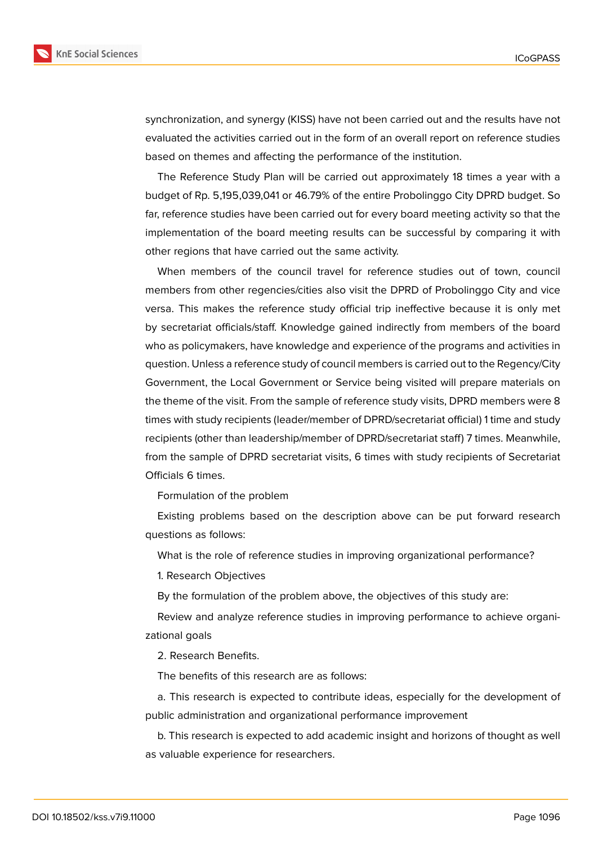

synchronization, and synergy (KISS) have not been carried out and the results have not evaluated the activities carried out in the form of an overall report on reference studies based on themes and affecting the performance of the institution.

The Reference Study Plan will be carried out approximately 18 times a year with a budget of Rp. 5,195,039,041 or 46.79% of the entire Probolinggo City DPRD budget. So far, reference studies have been carried out for every board meeting activity so that the implementation of the board meeting results can be successful by comparing it with other regions that have carried out the same activity.

When members of the council travel for reference studies out of town, council members from other regencies/cities also visit the DPRD of Probolinggo City and vice versa. This makes the reference study official trip ineffective because it is only met by secretariat officials/staff. Knowledge gained indirectly from members of the board who as policymakers, have knowledge and experience of the programs and activities in question. Unless a reference study of council members is carried out to the Regency/City Government, the Local Government or Service being visited will prepare materials on the theme of the visit. From the sample of reference study visits, DPRD members were 8 times with study recipients (leader/member of DPRD/secretariat official) 1 time and study recipients (other than leadership/member of DPRD/secretariat staff) 7 times. Meanwhile, from the sample of DPRD secretariat visits, 6 times with study recipients of Secretariat Officials 6 times.

Formulation of the problem

Existing problems based on the description above can be put forward research questions as follows:

What is the role of reference studies in improving organizational performance?

1. Research Objectives

By the formulation of the problem above, the objectives of this study are:

Review and analyze reference studies in improving performance to achieve organizational goals

2. Research Benefits.

The benefits of this research are as follows:

a. This research is expected to contribute ideas, especially for the development of public administration and organizational performance improvement

b. This research is expected to add academic insight and horizons of thought as well as valuable experience for researchers.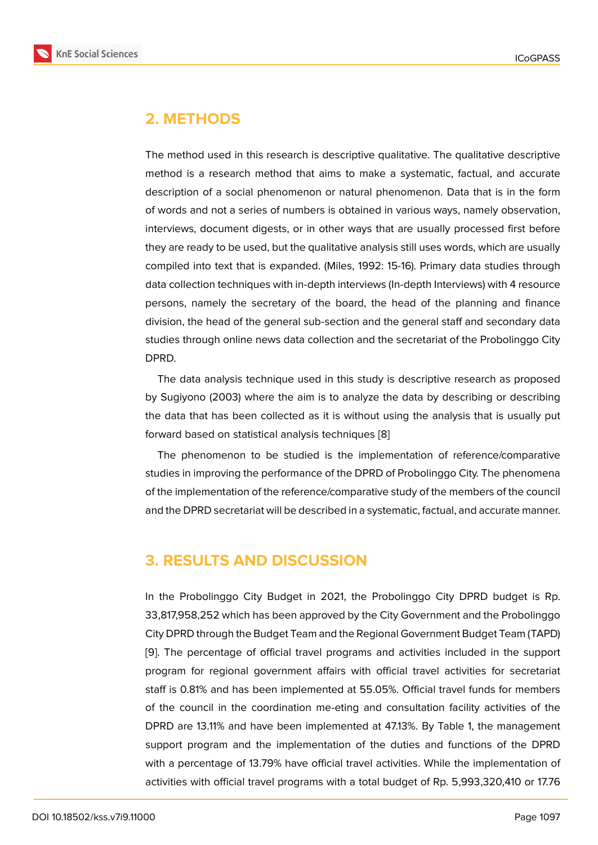# **2. METHODS**

The method used in this research is descriptive qualitative. The qualitative descriptive method is a research method that aims to make a systematic, factual, and accurate description of a social phenomenon or natural phenomenon. Data that is in the form of words and not a series of numbers is obtained in various ways, namely observation, interviews, document digests, or in other ways that are usually processed first before they are ready to be used, but the qualitative analysis still uses words, which are usually compiled into text that is expanded. (Miles, 1992: 15-16). Primary data studies through data collection techniques with in-depth interviews (In-depth Interviews) with 4 resource persons, namely the secretary of the board, the head of the planning and finance division, the head of the general sub-section and the general staff and secondary data studies through online news data collection and the secretariat of the Probolinggo City DPRD.

The data analysis technique used in this study is descriptive research as proposed by Sugiyono (2003) where the aim is to analyze the data by describing or describing the data that has been collected as it is without using the analysis that is usually put forward based on statistical analysis techniques [8]

The phenomenon to be studied is the implementation of reference/comparative studies in improving the performance of the DPRD of Probolinggo City. The phenomena of the implementation of the reference/comparati[ve](#page-12-3) study of the members of the council and the DPRD secretariat will be described in a systematic, factual, and accurate manner.

### **3. RESULTS AND DISCUSSION**

In the Probolinggo City Budget in 2021, the Probolinggo City DPRD budget is Rp. 33,817,958,252 which has been approved by the City Government and the Probolinggo City DPRD through the Budget Team and the Regional Government Budget Team (TAPD) [9]. The percentage of official travel programs and activities included in the support program for regional government affairs with official travel activities for secretariat staff is 0.81% and has been implemented at 55.05%. Official travel funds for members [of](#page-12-4) the council in the coordination me-eting and consultation facility activities of the DPRD are 13.11% and have been implemented at 47.13%. By Table 1, the management support program and the implementation of the duties and functions of the DPRD with a percentage of 13.79% have official travel activities. While the implementation of activities with official travel programs with a total budget of Rp. 5,993,320,410 or 17.76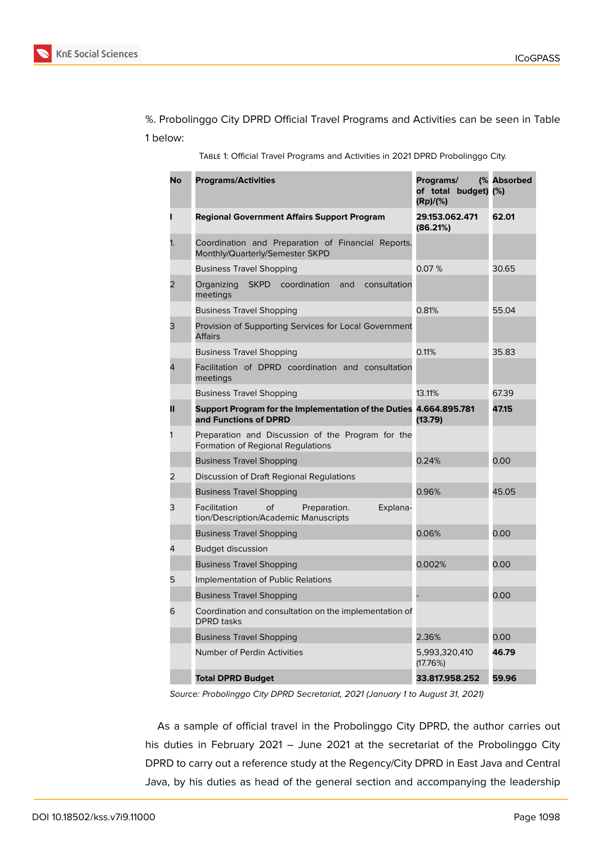%. Probolinggo City DPRD Official Travel Programs and Activities can be seen in Table 1 below:

Table 1: Official Travel Programs and Activities in 2021 DPRD Probolinggo City.

| No | <b>Programs/Activities</b>                                                              | Programs/<br>of total budget) (%)<br>(Rp)/(%) | (% Absorbed |
|----|-----------------------------------------------------------------------------------------|-----------------------------------------------|-------------|
| п  | <b>Regional Government Affairs Support Program</b>                                      | 29.153.062.471<br>(86.21%)                    | 62.01       |
| 1. | Coordination and Preparation of Financial Reports.<br>Monthly/Quarterly/Semester SKPD   |                                               |             |
|    | <b>Business Travel Shopping</b>                                                         | 0.07%                                         | 30.65       |
| 2  | <b>SKPD</b><br>coordination<br>and<br>consultation<br>Organizing<br>meetings            |                                               |             |
|    | <b>Business Travel Shopping</b>                                                         | 0.81%                                         | 55.04       |
| 3  | Provision of Supporting Services for Local Government<br><b>Affairs</b>                 |                                               |             |
|    | <b>Business Travel Shopping</b>                                                         | 0.11%                                         | 35.83       |
| 4  | Facilitation of DPRD coordination and consultation<br>meetings                          |                                               |             |
|    | <b>Business Travel Shopping</b>                                                         | 13.11%                                        | 67.39       |
| Ш  | Support Program for the Implementation of the Duties<br>and Functions of DPRD           | 4.664.895.781<br>(13.79)                      | 47.15       |
| 1  | Preparation and Discussion of the Program for the<br>Formation of Regional Regulations  |                                               |             |
|    | <b>Business Travel Shopping</b>                                                         | 0.24%                                         | 0.00        |
| 2  | Discussion of Draft Regional Regulations                                                |                                               |             |
|    | <b>Business Travel Shopping</b>                                                         | 0.96%                                         | 45.05       |
| 3  | Facilitation<br>of<br>Preparation.<br>Explana-<br>tion/Description/Academic Manuscripts |                                               |             |
|    | <b>Business Travel Shopping</b>                                                         | 0.06%                                         | 0.00        |
| 4  | <b>Budget discussion</b>                                                                |                                               |             |
|    | <b>Business Travel Shopping</b>                                                         | 0.002%                                        | 0.00        |
| 5  | Implementation of Public Relations                                                      |                                               |             |
|    | <b>Business Travel Shopping</b>                                                         |                                               | 0.00        |
| 6  | Coordination and consultation on the implementation of<br><b>DPRD</b> tasks             |                                               |             |
|    | <b>Business Travel Shopping</b>                                                         | 2.36%                                         | 0.00        |
|    | Number of Perdin Activities                                                             | 5,993,320,410<br>(17.76%)                     | 46.79       |
|    | <b>Total DPRD Budget</b>                                                                | 33.817.958.252                                | 59.96       |

*Source: Probolinggo City DPRD Secretariat, 2021 (January 1 to August 31, 2021)*

As a sample of official travel in the Probolinggo City DPRD, the author carries out his duties in February 2021 – June 2021 at the secretariat of the Probolinggo City DPRD to carry out a reference study at the Regency/City DPRD in East Java and Central Java, by his duties as head of the general section and accompanying the leadership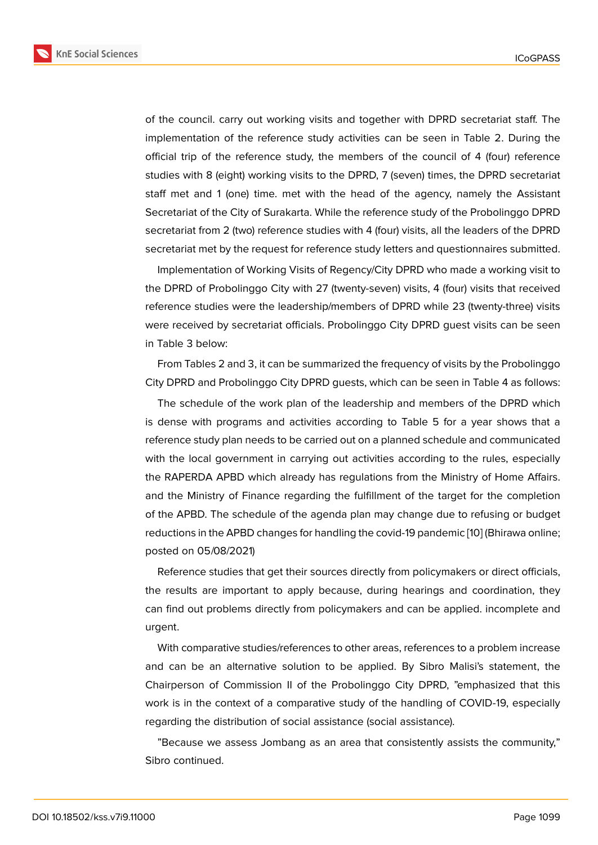of the council. carry out working visits and together with DPRD secretariat staff. The implementation of the reference study activities can be seen in Table 2. During the official trip of the reference study, the members of the council of 4 (four) reference studies with 8 (eight) working visits to the DPRD, 7 (seven) times, the DPRD secretariat staff met and 1 (one) time. met with the head of the agency, namely the Assistant Secretariat of the City of Surakarta. While the reference study of the Probolinggo DPRD secretariat from 2 (two) reference studies with 4 (four) visits, all the leaders of the DPRD secretariat met by the request for reference study letters and questionnaires submitted.

Implementation of Working Visits of Regency/City DPRD who made a working visit to the DPRD of Probolinggo City with 27 (twenty-seven) visits, 4 (four) visits that received reference studies were the leadership/members of DPRD while 23 (twenty-three) visits were received by secretariat officials. Probolinggo City DPRD guest visits can be seen in Table 3 below:

From Tables 2 and 3, it can be summarized the frequency of visits by the Probolinggo City DPRD and Probolinggo City DPRD guests, which can be seen in Table 4 as follows:

The schedule of the work plan of the leadership and members of the DPRD which is dense with programs and activities according to Table 5 for a year shows that a reference study plan needs to be carried out on a planned schedule and communicated with the local government in carrying out activities according to the rules, especially the RAPERDA APBD which already has regulations from the Ministry of Home Affairs. and the Ministry of Finance regarding the fulfillment of the target for the completion of the APBD. The schedule of the agenda plan may change due to refusing or budget reductions in the APBD changes for handling the covid-19 pandemic [10] (Bhirawa online; posted on 05/08/2021)

Reference studies that get their sources directly from policymakers or direct officials, the results are important to apply because, during hearings and [co](#page-12-5)ordination, they can find out problems directly from policymakers and can be applied. incomplete and urgent.

With comparative studies/references to other areas, references to a problem increase and can be an alternative solution to be applied. By Sibro Malisi's statement, the Chairperson of Commission II of the Probolinggo City DPRD, "emphasized that this work is in the context of a comparative study of the handling of COVID-19, especially regarding the distribution of social assistance (social assistance).

"Because we assess Jombang as an area that consistently assists the community," Sibro continued.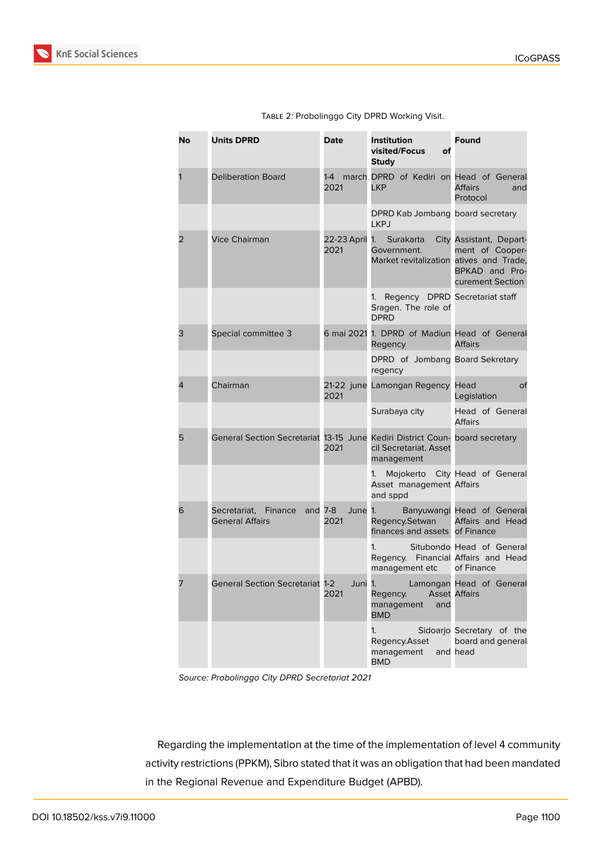

| No | <b>Units DPRD</b>                                                            | <b>Date</b>            | Institution<br>visited/Focus<br>оf<br><b>Study</b>                         | <b>Found</b>                                                                     |
|----|------------------------------------------------------------------------------|------------------------|----------------------------------------------------------------------------|----------------------------------------------------------------------------------|
|    | <b>Deliberation Board</b>                                                    | 1-4<br>2021            | march DPRD of Kediri on Head of General<br><b>LKP</b>                      | <b>Affairs</b><br>and<br>Protocol                                                |
|    |                                                                              |                        | DPRD Kab Jombang board secretary<br><b>LKPJ</b>                            |                                                                                  |
| 2  | <b>Vice Chairman</b>                                                         | 22-23 April 1.<br>2021 | Surakarta<br>Government.<br>Market revitalization atives and Trade,        | City Assistant, Depart-<br>ment of Cooper-<br>BPKAD and Pro-<br>curement Section |
|    |                                                                              |                        | Regency DPRD Secretariat staff<br>1.<br>Sragen. The role of<br><b>DPRD</b> |                                                                                  |
| 3  | Special committee 3                                                          |                        | 6 mai 2021 1. DPRD of Madiun Head of General<br>Regency                    | <b>Affairs</b>                                                                   |
|    |                                                                              |                        | DPRD of Jombang Board Sekretary<br>regency                                 |                                                                                  |
| 4  | Chairman                                                                     | 2021                   | 21-22 june Lamongan Regency Head                                           | οf<br>Legislation                                                                |
|    |                                                                              |                        | Surabaya city                                                              | Head of General<br><b>Affairs</b>                                                |
| 5  | General Section Secretariat 13-15 June Kediri District Coun- board secretary | 2021                   | cil Secretariat. Asset<br>management                                       |                                                                                  |
|    |                                                                              |                        | 1.<br>Asset management Affairs<br>and sppd                                 | Mojokerto City Head of General                                                   |
| 6  | Secretariat,<br>Finance<br>and $7-8$<br><b>General Affairs</b>               | June 1.<br>2021        | Regency.Setwan<br>finances and assets of Finance                           | Banyuwangi Head of General<br>Affairs and Head                                   |
|    |                                                                              |                        | 1.<br>Regency. Financial Affairs and Head<br>management etc                | Situbondo Head of General<br>of Finance                                          |
| 7  | <b>General Section Secretariat 1-2</b>                                       | 2021                   | Juni 1.<br>Regency. Asset Affairs<br>management<br>and<br><b>BMD</b>       | Lamongan Head of General                                                         |
|    |                                                                              |                        | 1.<br>Regency.Asset<br>management<br><b>BMD</b>                            | Sidoarjo Secretary of the<br>board and general<br>and head                       |

Table 2: Probolinggo City DPRD Working Visit.

*Source: Probolinggo City DPRD Secretariat 2021*

Regarding the implementation at the time of the implementation of level 4 community activity restrictions (PPKM), Sibro stated that it was an obligation that had been mandated in the Regional Revenue and Expenditure Budget (APBD).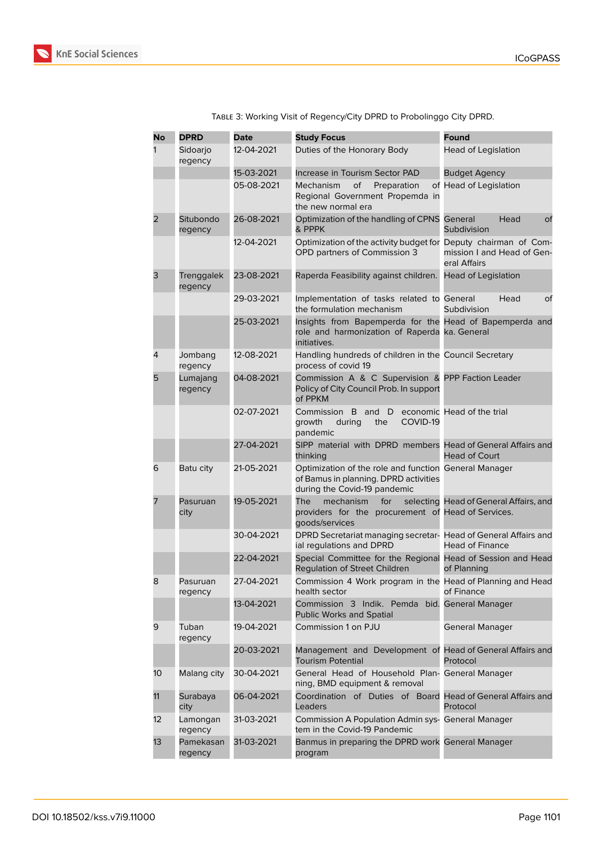

| <b>No</b> | <b>DPRD</b>           | <b>Date</b> | <b>Study Focus</b>                                                                                                             | Found                                      |
|-----------|-----------------------|-------------|--------------------------------------------------------------------------------------------------------------------------------|--------------------------------------------|
| 1         | Sidoarjo<br>regency   | 12-04-2021  | Duties of the Honorary Body                                                                                                    | Head of Legislation                        |
|           |                       | 15-03-2021  | Increase in Tourism Sector PAD                                                                                                 | <b>Budget Agency</b>                       |
|           |                       | 05-08-2021  | of<br>Mechanism<br>Preparation<br>Regional Government Propemda in<br>the new normal era                                        | of Head of Legislation                     |
| 2         | Situbondo<br>regency  | 26-08-2021  | Optimization of the handling of CPNS<br>& PPPK                                                                                 | General<br>Head<br>of<br>Subdivision       |
|           |                       | 12-04-2021  | Optimization of the activity budget for Deputy chairman of Com-<br>OPD partners of Commission 3                                | mission I and Head of Gen-<br>eral Affairs |
| 3         | Trenggalek<br>regency | 23-08-2021  | Raperda Feasibility against children.                                                                                          | <b>Head of Legislation</b>                 |
|           |                       | 29-03-2021  | Implementation of tasks related to General<br>the formulation mechanism                                                        | Head<br>of<br>Subdivision                  |
|           |                       | 25-03-2021  | Insights from Bapemperda for the Head of Bapemperda and<br>role and harmonization of Raperda ka. General<br>initiatives.       |                                            |
| 4         | Jombang<br>regency    | 12-08-2021  | Handling hundreds of children in the Council Secretary<br>process of covid 19                                                  |                                            |
| 5         | Lumajang<br>regency   | 04-08-2021  | Commission A & C Supervision & PPP Faction Leader<br>Policy of City Council Prob. In support<br>of PPKM                        |                                            |
|           |                       | 02-07-2021  | Commission B and D<br>growth<br>during<br>the<br>COVID-19<br>pandemic                                                          | economic Head of the trial                 |
|           |                       | 27-04-2021  | SIPP material with DPRD members Head of General Affairs and<br>thinking                                                        | <b>Head of Court</b>                       |
| 6         | Batu city             | 21-05-2021  | Optimization of the role and function General Manager<br>of Bamus in planning. DPRD activities<br>during the Covid-19 pandemic |                                            |
|           | Pasuruan<br>city      | 19-05-2021  | <b>The</b><br>mechanism<br>for<br>providers for the procurement of Head of Services.<br>goods/services                         | selecting Head of General Affairs, and     |
|           |                       | 30-04-2021  | DPRD Secretariat managing secretar- Head of General Affairs and<br>ial regulations and DPRD                                    | <b>Head of Finance</b>                     |
|           |                       | 22-04-2021  | Special Committee for the Regional<br><b>Regulation of Street Children</b>                                                     | Head of Session and Head<br>of Planning    |
| 8         | Pasuruan<br>regency   | 27-04-2021  | Commission 4 Work program in the Head of Planning and Head<br>health sector                                                    | of Finance                                 |
|           |                       | 13-04-2021  | Commission 3 Indik. Pemda bid. General Manager<br>Public Works and Spatial                                                     |                                            |
| 9         | Tuban<br>regency      | 19-04-2021  | Commission 1 on PJU                                                                                                            | General Manager                            |
|           |                       | 20-03-2021  | Management and Development of Head of General Affairs and<br><b>Tourism Potential</b>                                          | Protocol                                   |
| 10        | Malang city           | 30-04-2021  | General Head of Household Plan- General Manager<br>ning, BMD equipment & removal                                               |                                            |
| 11        | Surabaya<br>city      | 06-04-2021  | Coordination of Duties of Board Head of General Affairs and<br>Leaders                                                         | Protocol                                   |
| 12        | Lamongan<br>regency   | 31-03-2021  | Commission A Population Admin sys- General Manager<br>tem in the Covid-19 Pandemic                                             |                                            |
| 13        | Pamekasan<br>regency  | 31-03-2021  | Banmus in preparing the DPRD work General Manager<br>program                                                                   |                                            |

Table 3: Working Visit of Regency/City DPRD to Probolinggo City DPRD.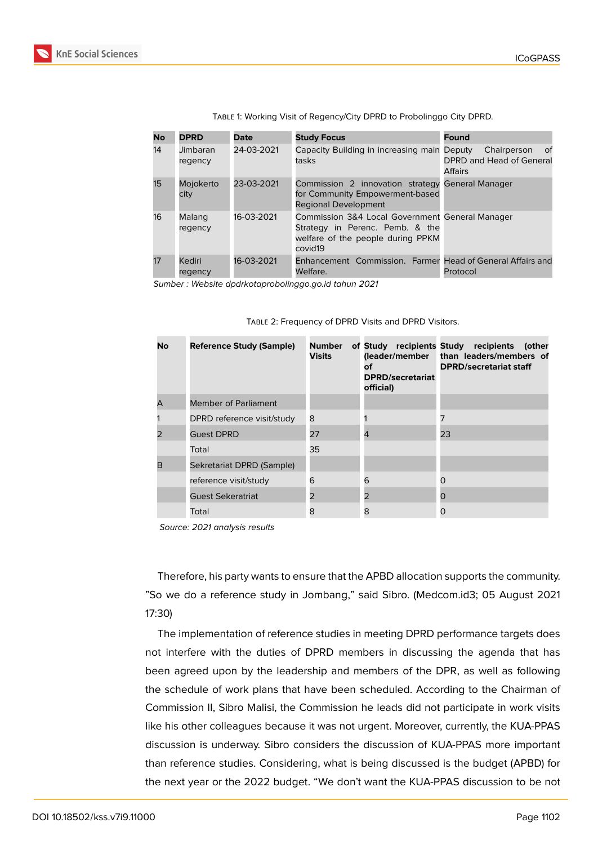| <b>No</b> | <b>DPRD</b>         | Date       | <b>Study Focus</b>                                                                                                                 | <b>Found</b>                                                    |
|-----------|---------------------|------------|------------------------------------------------------------------------------------------------------------------------------------|-----------------------------------------------------------------|
| 14        | Jimbaran<br>regency | 24-03-2021 | Capacity Building in increasing main Deputy<br>tasks                                                                               | 0f<br>Chairperson<br>DPRD and Head of General<br><b>Affairs</b> |
| 15        | Mojokerto<br>city   | 23-03-2021 | Commission 2 innovation strategy General Manager<br>for Community Empowerment-based<br><b>Regional Development</b>                 |                                                                 |
| 16        | Malang<br>regency   | 16-03-2021 | Commission 3&4 Local Government General Manager<br>Strategy in Perenc. Pemb. & the<br>welfare of the people during PPKM<br>covid19 |                                                                 |
| 17        | Kediri<br>regency   | 16-03-2021 | Enhancement Commission. Farmer Head of General Affairs and<br>Welfare.                                                             | Protocol                                                        |

Table 1: Working Visit of Regency/City DPRD to Probolinggo City DPRD.

*Sumber : Website dpdrkotaprobolinggo.go.id tahun 2021*

| <b>No</b> | <b>Reference Study (Sample)</b> | <b>Number</b><br><b>Visits</b> | of Study<br>(leader/member<br>оf<br><b>DPRD/secretariat</b><br>official) | recipients Study recipients<br>(other<br>than leaders/members of<br><b>DPRD/secretariat staff</b> |
|-----------|---------------------------------|--------------------------------|--------------------------------------------------------------------------|---------------------------------------------------------------------------------------------------|
| A         | Member of Parliament            |                                |                                                                          |                                                                                                   |
| 1         | DPRD reference visit/study      | 8                              |                                                                          |                                                                                                   |
| 2         | <b>Guest DPRD</b>               | 27                             | $\overline{4}$                                                           | 23                                                                                                |
|           | Total                           | 35                             |                                                                          |                                                                                                   |
| в         | Sekretariat DPRD (Sample)       |                                |                                                                          |                                                                                                   |
|           | reference visit/study           | 6                              | 6                                                                        | O                                                                                                 |
|           | <b>Guest Sekeratriat</b>        | 2                              | 2                                                                        | O                                                                                                 |
|           | Total                           | 8                              | 8                                                                        | 0                                                                                                 |

Table 2: Frequency of DPRD Visits and DPRD Visitors.

*Source: 2021 analysis results*

Therefore, his party wants to ensure that the APBD allocation supports the community. "So we do a reference study in Jombang," said Sibro. (Medcom.id3; 05 August 2021 17:30)

The implementation of reference studies in meeting DPRD performance targets does not interfere with the duties of DPRD members in discussing the agenda that has been agreed upon by the leadership and members of the DPR, as well as following the schedule of work plans that have been scheduled. According to the Chairman of Commission II, Sibro Malisi, the Commission he leads did not participate in work visits like his other colleagues because it was not urgent. Moreover, currently, the KUA-PPAS discussion is underway. Sibro considers the discussion of KUA-PPAS more important than reference studies. Considering, what is being discussed is the budget (APBD) for the next year or the 2022 budget. "We don't want the KUA-PPAS discussion to be not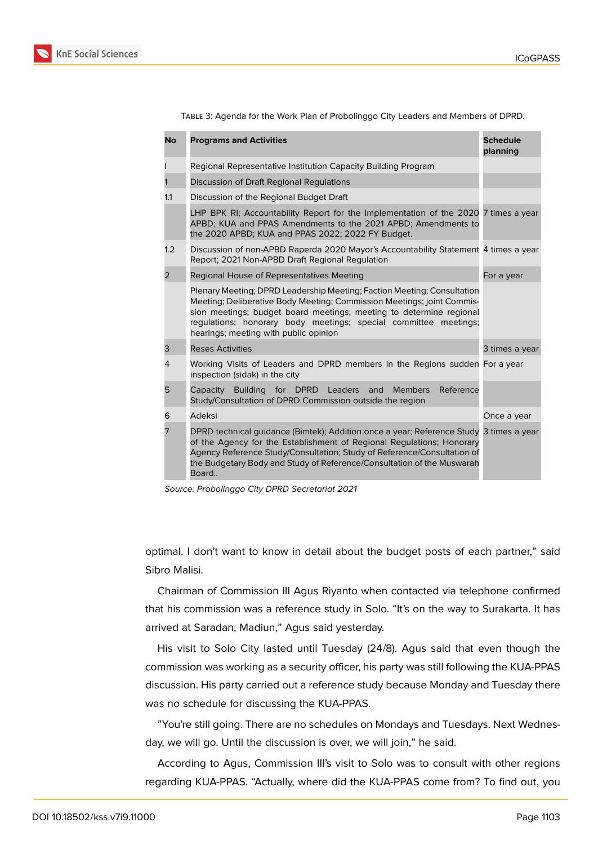

| <b>No</b>      | <b>Programs and Activities</b>                                                                                                                                                                                                                                                                                                        | <b>Schedule</b><br>planning |
|----------------|---------------------------------------------------------------------------------------------------------------------------------------------------------------------------------------------------------------------------------------------------------------------------------------------------------------------------------------|-----------------------------|
|                | Regional Representative Institution Capacity Building Program                                                                                                                                                                                                                                                                         |                             |
|                | Discussion of Draft Regional Regulations                                                                                                                                                                                                                                                                                              |                             |
| 1.1            | Discussion of the Regional Budget Draft                                                                                                                                                                                                                                                                                               |                             |
|                | LHP BPK RI; Accountability Report for the Implementation of the 2020 7 times a year<br>APBD; KUA and PPAS Amendments to the 2021 APBD; Amendments to<br>the 2020 APBD; KUA and PPAS 2022; 2022 FY Budget.                                                                                                                             |                             |
| 1.2            | Discussion of non-APBD Raperda 2020 Mayor's Accountability Statement 4 times a year<br>Report; 2021 Non-APBD Draft Regional Regulation                                                                                                                                                                                                |                             |
| $\overline{2}$ | Regional House of Representatives Meeting                                                                                                                                                                                                                                                                                             | For a year                  |
|                | Plenary Meeting; DPRD Leadership Meeting; Faction Meeting; Consultation<br>Meeting; Deliberative Body Meeting; Commission Meetings; joint Commis-<br>sion meetings; budget board meetings; meeting to determine regional<br>regulations; honorary body meetings; special committee meetings;<br>hearings; meeting with public opinion |                             |
| 3              | <b>Reses Activities</b>                                                                                                                                                                                                                                                                                                               | 3 times a year              |
| 4              | Working Visits of Leaders and DPRD members in the Regions sudden For a year<br>inspection (sidak) in the city                                                                                                                                                                                                                         |                             |
| 5              | Capacity Building for DPRD Leaders and<br><b>Members</b><br>Reference<br>Study/Consultation of DPRD Commission outside the region                                                                                                                                                                                                     |                             |
| 6              | Adeksi                                                                                                                                                                                                                                                                                                                                | Once a year                 |
| 7              | DPRD technical guidance (Bimtek); Addition once a year; Reference Study 3 times a year<br>of the Agency for the Establishment of Regional Regulations; Honorary<br>Agency Reference Study/Consultation; Study of Reference/Consultation of<br>the Budgetary Body and Study of Reference/Consultation of the Muswarah<br>Board         |                             |

Table 3: Agenda for the Work Plan of Probolinggo City Leaders and Members of DPRD.

optimal. I don't want to know in detail about the budget posts of each partner," said Sibro Malisi.

Chairman of Commission III Agus Riyanto when contacted via telephone confirmed that his commission was a reference study in Solo. "It's on the way to Surakarta. It has arrived at Saradan, Madiun," Agus said yesterday.

His visit to Solo City lasted until Tuesday (24/8). Agus said that even though the commission was working as a security officer, his party was still following the KUA-PPAS discussion. His party carried out a reference study because Monday and Tuesday there was no schedule for discussing the KUA-PPAS.

"You're still going. There are no schedules on Mondays and Tuesdays. Next Wednesday, we will go. Until the discussion is over, we will join," he said.

According to Agus, Commission III's visit to Solo was to consult with other regions regarding KUA-PPAS. "Actually, where did the KUA-PPAS come from? To find out, you

*Source: Probolinggo City DPRD Secretariat 2021*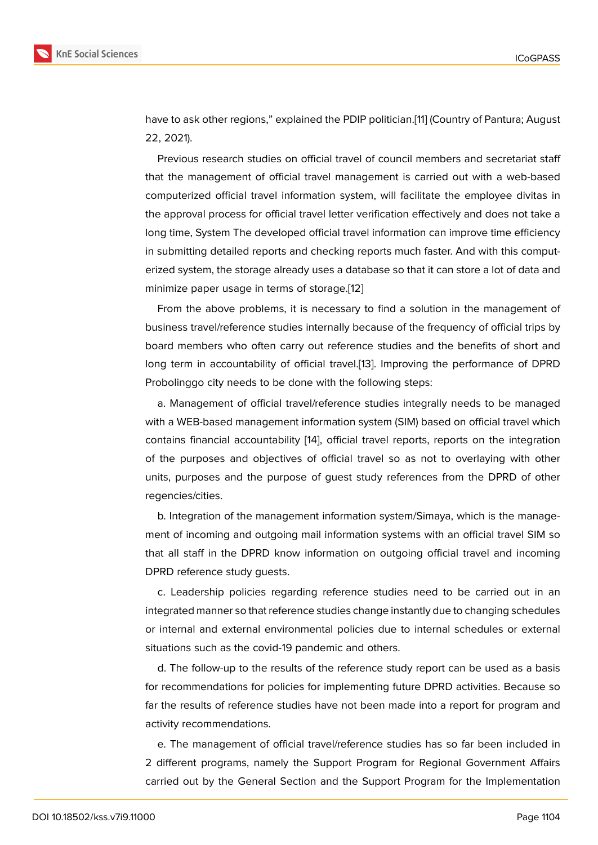have to ask other regions," explained the PDIP politician.[11] (Country of Pantura; August 22, 2021).

Previous research studies on official travel of council members and secretariat staff that the management of official travel management is [ca](#page-12-6)rried out with a web-based computerized official travel information system, will facilitate the employee divitas in the approval process for official travel letter verification effectively and does not take a long time, System The developed official travel information can improve time efficiency in submitting detailed reports and checking reports much faster. And with this computerized system, the storage already uses a database so that it can store a lot of data and minimize paper usage in terms of storage.[12]

From the above problems, it is necessary to find a solution in the management of business travel/reference studies internally because of the frequency of official trips by board members who often carry out refer[en](#page-12-7)ce studies and the benefits of short and long term in accountability of official travel.[13]. Improving the performance of DPRD Probolinggo city needs to be done with the following steps:

a. Management of official travel/reference studies integrally needs to be managed with a WEB-based management information [sys](#page-12-8)tem (SIM) based on official travel which contains financial accountability [14], official travel reports, reports on the integration of the purposes and objectives of official travel so as not to overlaying with other units, purposes and the purpose of guest study references from the DPRD of other regencies/cities.

b. Integration of the management information system/Simaya, which is the management of incoming and outgoing mail information systems with an official travel SIM so that all staff in the DPRD know information on outgoing official travel and incoming DPRD reference study guests.

c. Leadership policies regarding reference studies need to be carried out in an integrated manner so that reference studies change instantly due to changing schedules or internal and external environmental policies due to internal schedules or external situations such as the covid-19 pandemic and others.

d. The follow-up to the results of the reference study report can be used as a basis for recommendations for policies for implementing future DPRD activities. Because so far the results of reference studies have not been made into a report for program and activity recommendations.

e. The management of official travel/reference studies has so far been included in 2 different programs, namely the Support Program for Regional Government Affairs carried out by the General Section and the Support Program for the Implementation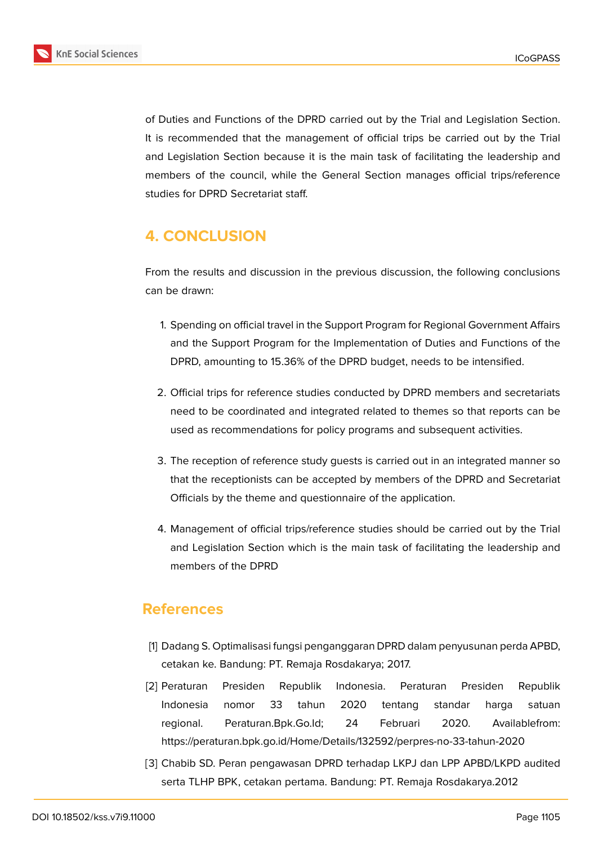

of Duties and Functions of the DPRD carried out by the Trial and Legislation Section. It is recommended that the management of official trips be carried out by the Trial and Legislation Section because it is the main task of facilitating the leadership and members of the council, while the General Section manages official trips/reference studies for DPRD Secretariat staff.

# **4. CONCLUSION**

From the results and discussion in the previous discussion, the following conclusions can be drawn:

- 1. Spending on official travel in the Support Program for Regional Government Affairs and the Support Program for the Implementation of Duties and Functions of the DPRD, amounting to 15.36% of the DPRD budget, needs to be intensified.
- 2. Official trips for reference studies conducted by DPRD members and secretariats need to be coordinated and integrated related to themes so that reports can be used as recommendations for policy programs and subsequent activities.
- 3. The reception of reference study guests is carried out in an integrated manner so that the receptionists can be accepted by members of the DPRD and Secretariat Officials by the theme and questionnaire of the application.
- 4. Management of official trips/reference studies should be carried out by the Trial and Legislation Section which is the main task of facilitating the leadership and members of the DPRD

## **References**

- [1] Dadang S. Optimalisasi fungsi penganggaran DPRD dalam penyusunan perda APBD, cetakan ke. Bandung: PT. Remaja Rosdakarya; 2017.
- <span id="page-11-0"></span>[2] Peraturan Presiden Republik Indonesia. Peraturan Presiden Republik Indonesia nomor 33 tahun 2020 tentang standar harga satuan regional. Peraturan.Bpk.Go.Id; 24 Februari 2020. Availablefrom: https://peraturan.bpk.go.id/Home/Details/132592/perpres-no-33-tahun-2020
- <span id="page-11-1"></span>[3] Chabib SD. Peran pengawasan DPRD terhadap LKPJ dan LPP APBD/LKPD audited serta TLHP BPK, cetakan pertama. Bandung: PT. Remaja Rosdakarya.2012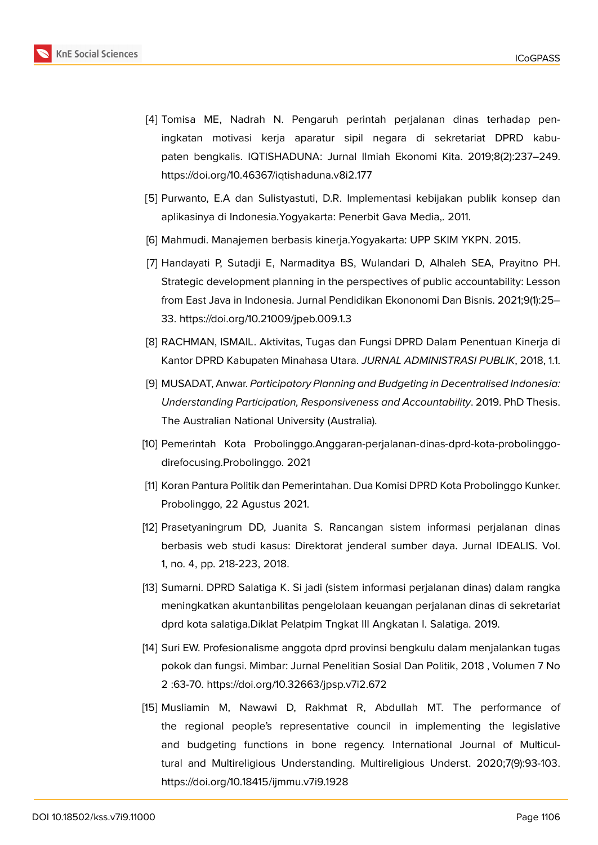

- <span id="page-12-0"></span>[4] Tomisa ME, Nadrah N. Pengaruh perintah perjalanan dinas terhadap peningkatan motivasi kerja aparatur sipil negara di sekretariat DPRD kabupaten bengkalis. IQTISHADUNA: Jurnal Ilmiah Ekonomi Kita. 2019;8(2):237–249. https://doi.org/10.46367/iqtishaduna.v8i2.177
- <span id="page-12-1"></span>[5] Purwanto, E.A dan Sulistyastuti, D.R. Implementasi kebijakan publik konsep dan aplikasinya di Indonesia.Yogyakarta: Penerbit Gava Media,. 2011.
- <span id="page-12-2"></span>[6] Mahmudi. Manajemen berbasis kinerja.Yogyakarta: UPP SKIM YKPN. 2015.
- [7] Handayati P, Sutadji E, Narmaditya BS, Wulandari D, Alhaleh SEA, Prayitno PH. Strategic development planning in the perspectives of public accountability: Lesson from East Java in Indonesia. Jurnal Pendidikan Ekononomi Dan Bisnis. 2021;9(1):25– 33. https://doi.org/10.21009/jpeb.009.1.3
- <span id="page-12-3"></span>[8] RACHMAN, ISMAIL. Aktivitas, Tugas dan Fungsi DPRD Dalam Penentuan Kinerja di Kantor DPRD Kabupaten Minahasa Utara. *JURNAL ADMINISTRASI PUBLIK*, 2018, 1.1.
- <span id="page-12-4"></span>[9] MUSADAT, Anwar. *Participatory Planning and Budgeting in Decentralised Indonesia: Understanding Participation, Responsiveness and Accountability*. 2019. PhD Thesis. The Australian National University (Australia).
- <span id="page-12-5"></span>[10] Pemerintah Kota Probolinggo.Anggaran-perjalanan-dinas-dprd-kota-probolinggodirefocusing.Probolinggo. 2021
- <span id="page-12-6"></span>[11] Koran Pantura Politik dan Pemerintahan. Dua Komisi DPRD Kota Probolinggo Kunker. Probolinggo, 22 Agustus 2021.
- <span id="page-12-7"></span>[12] Prasetyaningrum DD, Juanita S. Rancangan sistem informasi perjalanan dinas berbasis web studi kasus: Direktorat jenderal sumber daya. Jurnal IDEALIS. Vol. 1, no. 4, pp. 218-223, 2018.
- <span id="page-12-8"></span>[13] Sumarni. DPRD Salatiga K. Si jadi (sistem informasi perjalanan dinas) dalam rangka meningkatkan akuntanbilitas pengelolaan keuangan perjalanan dinas di sekretariat dprd kota salatiga.Diklat Pelatpim Tngkat III Angkatan I. Salatiga. 2019.
- [14] Suri EW. Profesionalisme anggota dprd provinsi bengkulu dalam menjalankan tugas pokok dan fungsi. Mimbar: Jurnal Penelitian Sosial Dan Politik, 2018 , Volumen 7 No 2 :63-70. https://doi.org/10.32663/jpsp.v7i2.672
- [15] Musliamin M, Nawawi D, Rakhmat R, Abdullah MT. The performance of the regional people's representative council in implementing the legislative and budgeting functions in bone regency. International Journal of Multicultural and Multireligious Understanding. Multireligious Underst. 2020;7(9):93-103. https://doi.org/10.18415/ijmmu.v7i9.1928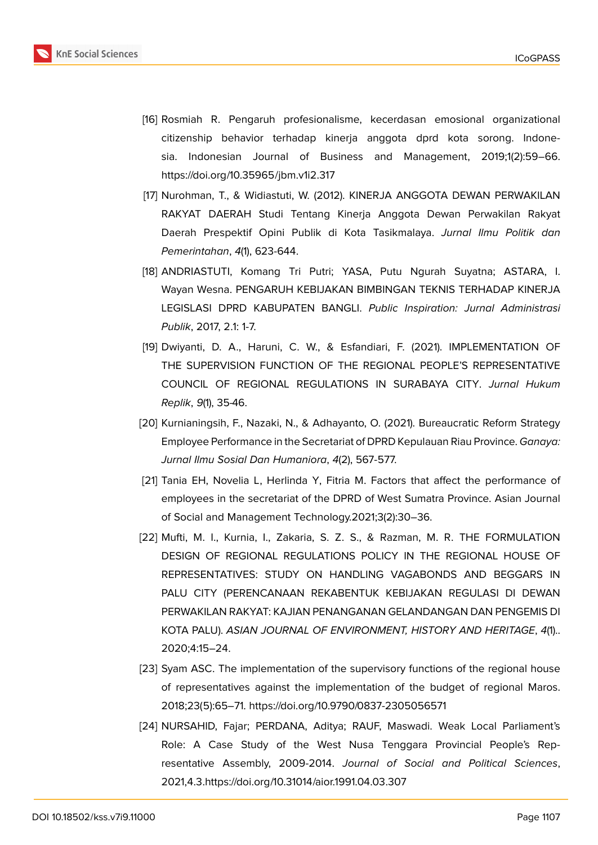

- [16] Rosmiah R. Pengaruh profesionalisme, kecerdasan emosional organizational citizenship behavior terhadap kinerja anggota dprd kota sorong. Indonesia. Indonesian Journal of Business and Management, 2019;1(2):59–66. https://doi.org/10.35965/jbm.v1i2.317
- [17] Nurohman, T., & Widiastuti, W. (2012). KINERJA ANGGOTA DEWAN PERWAKILAN RAKYAT DAERAH Studi Tentang Kinerja Anggota Dewan Perwakilan Rakyat Daerah Prespektif Opini Publik di Kota Tasikmalaya. *Jurnal Ilmu Politik dan Pemerintahan*, *4*(1), 623-644.
- [18] ANDRIASTUTI, Komang Tri Putri; YASA, Putu Ngurah Suyatna; ASTARA, I. Wayan Wesna. PENGARUH KEBIJAKAN BIMBINGAN TEKNIS TERHADAP KINERJA LEGISLASI DPRD KABUPATEN BANGLI. *Public Inspiration: Jurnal Administrasi Publik*, 2017, 2.1: 1-7.
- [19] Dwiyanti, D. A., Haruni, C. W., & Esfandiari, F. (2021). IMPLEMENTATION OF THE SUPERVISION FUNCTION OF THE REGIONAL PEOPLE'S REPRESENTATIVE COUNCIL OF REGIONAL REGULATIONS IN SURABAYA CITY. *Jurnal Hukum Replik*, *9*(1), 35-46.
- [20] Kurnianingsih, F., Nazaki, N., & Adhayanto, O. (2021). Bureaucratic Reform Strategy Employee Performance in the Secretariat of DPRD Kepulauan Riau Province. *Ganaya: Jurnal Ilmu Sosial Dan Humaniora*, *4*(2), 567-577.
- [21] Tania EH, Novelia L, Herlinda Y, Fitria M. Factors that affect the performance of employees in the secretariat of the DPRD of West Sumatra Province. Asian Journal of Social and Management Technology.2021;3(2):30–36.
- [22] Mufti, M. I., Kurnia, I., Zakaria, S. Z. S., & Razman, M. R. THE FORMULATION DESIGN OF REGIONAL REGULATIONS POLICY IN THE REGIONAL HOUSE OF REPRESENTATIVES: STUDY ON HANDLING VAGABONDS AND BEGGARS IN PALU CITY (PERENCANAAN REKABENTUK KEBIJAKAN REGULASI DI DEWAN PERWAKILAN RAKYAT: KAJIAN PENANGANAN GELANDANGAN DAN PENGEMIS DI KOTA PALU). *ASIAN JOURNAL OF ENVIRONMENT, HISTORY AND HERITAGE*, *4*(1).. 2020;4:15–24.
- [23] Syam ASC. The implementation of the supervisory functions of the regional house of representatives against the implementation of the budget of regional Maros. 2018;23(5):65–71. https://doi.org/10.9790/0837-2305056571
- [24] NURSAHID, Fajar; PERDANA, Aditya; RAUF, Maswadi. Weak Local Parliament's Role: A Case Study of the West Nusa Tenggara Provincial People's Representative Assembly, 2009-2014. *Journal of Social and Political Sciences*, 2021,4.3.https://doi.org/10.31014/aior.1991.04.03.307